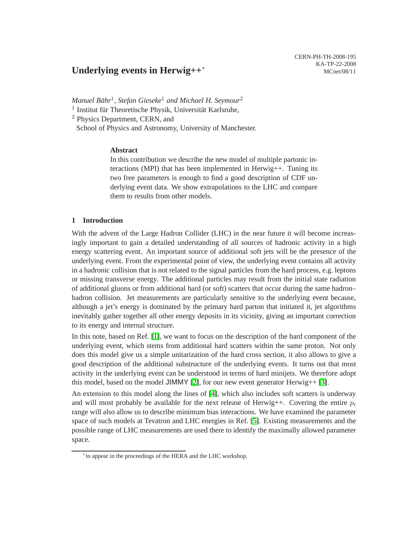# **Underlying events in Herwig++**<sup>∗</sup>

*Manuel Bahr ¨* 1 *, Stefan Gieseke*<sup>1</sup> *and Michael H. Seymour*<sup>2</sup>

<sup>1</sup> Institut für Theoretische Physik, Universität Karlsruhe,

<sup>2</sup> Physics Department, CERN, and

School of Physics and Astronomy, University of Manchester.

## **Abstract**

In this contribution we describe the new model of multiple partonic interactions (MPI) that has been implemented in Herwig++. Tuning its two free parameters is enough to find a good description of CDF underlying event data. We show extrapolations to the LHC and compare them to results from other models.

## **1 Introduction**

With the advent of the Large Hadron Collider (LHC) in the near future it will become increasingly important to gain a detailed understanding of all sources of hadronic activity in a high energy scattering event. An important source of additional soft jets will be the presence of the underlying event. From the experimental point of view, the underlying event contains all activity in a hadronic collision that is not related to the signal particles from the hard process, e.g. leptons or missing transverse energy. The additional particles may result from the initial state radiation of additional gluons or from additional hard (or soft) scatters that occur during the same hadron– hadron collision. Jet measurements are particularly sensitive to the underlying event because, although a jet's energy is dominated by the primary hard parton that initiated it, jet algorithms inevitably gather together all other energy deposits in its vicinity, giving an important correction to its energy and internal structure.

In this note, based on Ref. [\[1\]](#page-3-0), we want to focus on the description of the hard component of the underlying event, which stems from additional hard scatters within the same proton. Not only does this model give us a simple unitarization of the hard cross section, it also allows to give a good description of the additional substructure of the underlying events. It turns out that most activity in the underlying event can be understood in terms of hard minijets. We therefore adopt this model, based on the model JIMMY [\[2\]](#page-3-1), for our new event generator Herwig++ [\[3\]](#page-3-2).

An extension to this model along the lines of [\[4\]](#page-3-3), which also includes soft scatters is underway and will most probably be available for the next release of Herwig++. Covering the entire  $p_t$ range will also allow us to describe minimum bias interactions. We have examined the parameter space of such models at Tevatron and LHC energies in Ref. [\[5\]](#page-3-4). Existing measurements and the possible range of LHC measurements are used there to identify the maximally allowed parameter space.

<sup>∗</sup> to appear in the proceedings of the HERA and the LHC workshop.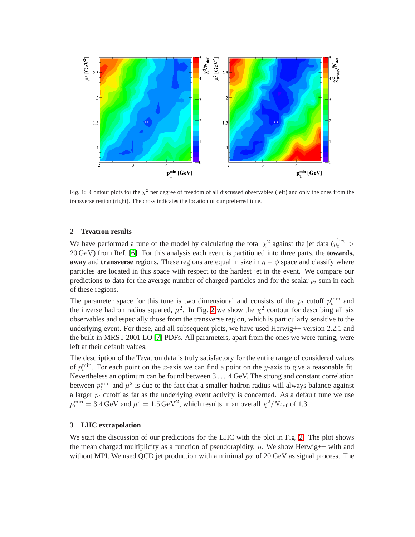

Fig. 1: Contour plots for the  $\chi^2$  per degree of freedom of all discussed observables (left) and only the ones from the transverse region (right). The cross indicates the location of our preferred tune.

#### <span id="page-1-0"></span>**2 Tevatron results**

We have performed a tune of the model by calculating the total  $\chi^2$  against the jet data ( $p_t^{\text{liet}}$  > 20 GeV) from Ref. [\[6\]](#page-3-5). For this analysis each event is partitioned into three parts, the **towards, away** and **transverse** regions. These regions are equal in size in  $\eta - \phi$  space and classify where particles are located in this space with respect to the hardest jet in the event. We compare our predictions to data for the average number of charged particles and for the scalar  $p_t$  sum in each of these regions.

The parameter space for this tune is two dimensional and consists of the  $p_t$  cutoff  $p_t^{\min}$  and the inverse hadron radius squared,  $\mu^2$ . In Fig. [2](#page-1-0) we show the  $\chi^2$  contour for describing all six observables and especially those from the transverse region, which is particularly sensitive to the underlying event. For these, and all subsequent plots, we have used Herwig++ version 2.2.1 and the built-in MRST 2001 LO [\[7\]](#page-4-0) PDFs. All parameters, apart from the ones we were tuning, were left at their default values.

The description of the Tevatron data is truly satisfactory for the entire range of considered values of  $p_t^{\min}$ . For each point on the x-axis we can find a point on the y-axis to give a reasonable fit. Nevertheless an optimum can be found between 3 . . . 4 GeV. The strong and constant correlation between  $p_t^{\text{min}}$  and  $\mu^2$  is due to the fact that a smaller hadron radius will always balance against a larger  $p_t$  cutoff as far as the underlying event activity is concerned. As a default tune we use  $p_t^{\text{min}} = 3.4 \,\text{GeV}$  and  $\mu^2 = 1.5 \,\text{GeV}^2$ , which results in an overall  $\chi^2/N_{\text{dof}}$  of 1.3.

#### **3 LHC extrapolation**

We start the discussion of our predictions for the LHC with the plot in Fig. [2.](#page-2-0) The plot shows the mean charged multiplicity as a function of pseudorapidity,  $\eta$ . We show Herwig++ with and without MPI. We used QCD jet production with a minimal  $p_T$  of 20 GeV as signal process. The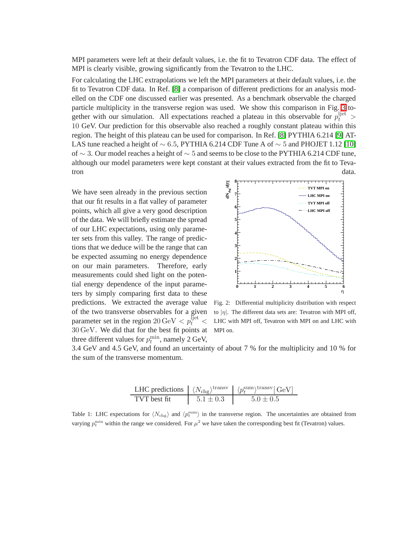MPI parameters were left at their default values, i.e. the fit to Tevatron CDF data. The effect of MPI is clearly visible, growing significantly from the Tevatron to the LHC.

For calculating the LHC extrapolations we left the MPI parameters at their default values, i.e. the fit to Tevatron CDF data. In Ref. [\[8\]](#page-4-1) a comparison of different predictions for an analysis modelled on the CDF one discussed earlier was presented. As a benchmark observable the charged particle multiplicity in the transverse region was used. We show this comparison in Fig. [3](#page-3-6) together with our simulation. All expectations reached a plateau in this observable for  $p_t^{ij}$  > 10 GeV. Our prediction for this observable also reached a roughly constant plateau within this region. The height of this plateau can be used for comparison. In Ref. [\[8\]](#page-4-1) PYTHIA 6.214 [\[9\]](#page-4-2) AT-LAS tune reached a height of  $\sim$  6.5, PYTHIA 6.214 CDF Tune A of  $\sim$  5 and PHOJET 1.12 [\[10\]](#page-4-3) of ∼ 3. Our model reaches a height of  $\sim$  5 and seems to be close to the PYTHIA 6.214 CDF tune, although our model parameters were kept constant at their values extracted from the fit to Tevatron data.

We have seen already in the previous section that our fit results in a flat valley of parameter points, which all give a very good description of the data. We will briefly estimate the spread of our LHC expectations, using only parameter sets from this valley. The range of predictions that we deduce will be the range that can be expected assuming no energy dependence on our main parameters. Therefore, early measurements could shed light on the potential energy dependence of the input parameters by simply comparing first data to these predictions. We extracted the average value of the two transverse observables for a given parameter set in the region  $20 \,\text{GeV} < p_t^{\text{Ijet}} <$ 30 GeV. We did that for the best fit points at three different values for  $p_t^{\min}$ , namely 2 GeV,



<span id="page-2-0"></span>Fig. 2: Differential multiplicity distribution with respect to  $|\eta|$ . The different data sets are: Tevatron with MPI off, LHC with MPI off, Tevatron with MPI on and LHC with MPI on.

3.4 GeV and 4.5 GeV, and found an uncertainty of about 7 % for the multiplicity and 10 % for the sum of the transverse momentum.

|              |               | LHC predictions $\langle N_{\text{chg}} \rangle^{\text{transv}} \langle \langle p_t^{\text{sum}} \rangle^{\text{transv}}$ [GeV] |
|--------------|---------------|---------------------------------------------------------------------------------------------------------------------------------|
| TVT best fit | $5.1 \pm 0.3$ | $5.0 + 0.5$                                                                                                                     |

Table 1: LHC expectations for  $\langle N_{\text{chg}} \rangle$  and  $\langle p_t^{\text{sum}} \rangle$  in the transverse region. The uncertainties are obtained from varying  $p_t^{\text{min}}$  within the range we considered. For  $\mu^2$  we have taken the corresponding best fit (Tevatron) values.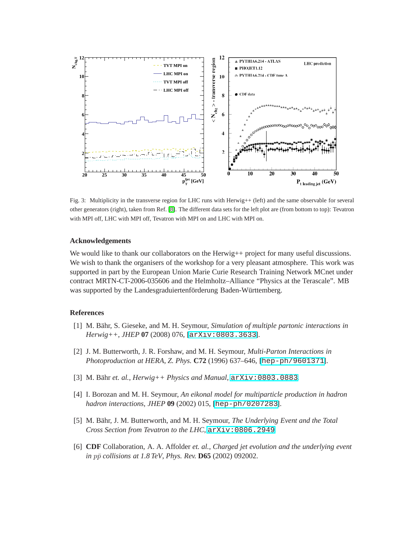

<span id="page-3-6"></span>Fig. 3: Multiplicity in the transverse region for LHC runs with Herwig++ (left) and the same observable for several other generators (right), taken from Ref. [\[8\]](#page-4-1). The different data sets for the left plot are (from bottom to top): Tevatron with MPI off, LHC with MPI off, Tevatron with MPI on and LHC with MPI on.

#### **Acknowledgements**

We would like to thank our collaborators on the Herwig++ project for many useful discussions. We wish to thank the organisers of the workshop for a very pleasant atmosphere. This work was supported in part by the European Union Marie Curie Research Training Network MCnet under contract MRTN-CT-2006-035606 and the Helmholtz–Alliance "Physics at the Terascale". MB was supported by the Landesgraduiertenförderung Baden-Württemberg.

### <span id="page-3-0"></span>**References**

- <span id="page-3-1"></span>[1] M. Bähr, S. Gieseke, and M. H. Seymour, *Simulation of multiple partonic interactions in Herwig++*, *JHEP* **07** (2008) 076, [[arXiv:0803.3633](http://xxx.lanl.gov/abs/0803.3633)].
- [2] J. M. Butterworth, J. R. Forshaw, and M. H. Seymour, *Multi-Parton Interactions in Photoproduction at HERA*, *Z. Phys.* **C72** (1996) 637–646, [[hep-ph/9601371](http://xxx.lanl.gov/abs/hep-ph/9601371)].
- <span id="page-3-3"></span><span id="page-3-2"></span>[3] M. Bähr *et. al.,*  $Herwig++ Phvisics and Manual$ *,*  $arXiv:0803.0883$ *.*
- [4] I. Borozan and M. H. Seymour, *An eikonal model for multiparticle production in hadron hadron interactions*, *JHEP* **09** (2002) 015, [[hep-ph/0207283](http://xxx.lanl.gov/abs/hep-ph/0207283)].
- <span id="page-3-4"></span>[5] M. Bähr, J. M. Butterworth, and M. H. Seymour, *The Underlying Event and the Total Cross Section from Tevatron to the LHC*, [arXiv:0806.2949](http://xxx.lanl.gov/abs/0806.2949).
- <span id="page-3-5"></span>[6] **CDF** Collaboration, A. A. Affolder *et. al.*, *Charged jet evolution and the underlying event in*  $p\bar{p}$  *collisions at 1.8 TeV, Phys. Rev.* **D65** (2002) 092002.